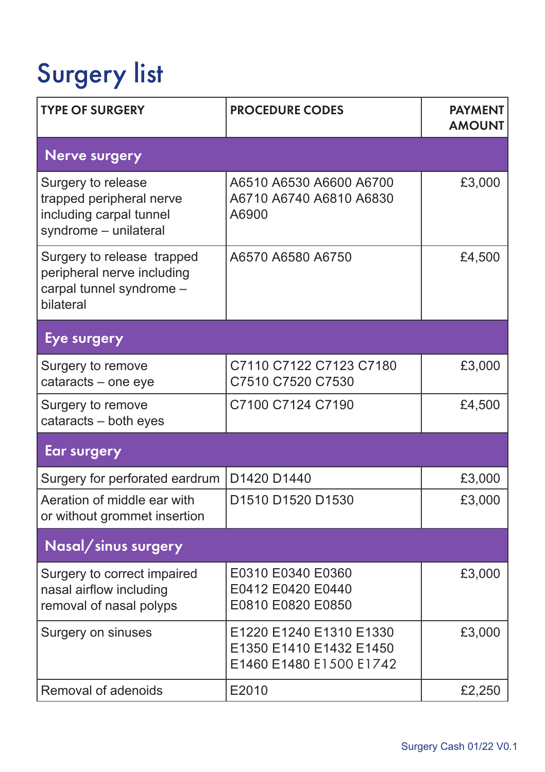## Surgery list

| <b>TYPE OF SURGERY</b>                                                                             | <b>PROCEDURE CODES</b>                                                        | <b>PAYMENT</b><br><b>AMOUNT</b> |
|----------------------------------------------------------------------------------------------------|-------------------------------------------------------------------------------|---------------------------------|
| <b>Nerve surgery</b>                                                                               |                                                                               |                                 |
| Surgery to release<br>trapped peripheral nerve<br>including carpal tunnel<br>syndrome - unilateral | A6510 A6530 A6600 A6700<br>A6710 A6740 A6810 A6830<br>A6900                   | £3,000                          |
| Surgery to release trapped<br>peripheral nerve including<br>carpal tunnel syndrome -<br>bilateral  | A6570 A6580 A6750                                                             | £4,500                          |
| Eye surgery                                                                                        |                                                                               |                                 |
| Surgery to remove<br>cataracts - one eye                                                           | C7110 C7122 C7123 C7180<br>C7510 C7520 C7530                                  | £3,000                          |
| Surgery to remove<br>cataracts - both eyes                                                         | C7100 C7124 C7190                                                             | £4,500                          |
| <b>Ear surgery</b>                                                                                 |                                                                               |                                 |
| Surgery for perforated eardrum                                                                     | D1420 D1440                                                                   | £3,000                          |
| Aeration of middle ear with<br>or without grommet insertion                                        | D1510 D1520 D1530                                                             | £3,000                          |
| Nasal/sinus surgery                                                                                |                                                                               |                                 |
| Surgery to correct impaired<br>nasal airflow including<br>removal of nasal polyps                  | E0310 E0340 E0360<br>E0412 E0420 E0440<br>E0810 E0820 E0850                   | £3,000                          |
| Surgery on sinuses                                                                                 | E1220 E1240 E1310 E1330<br>E1350 E1410 E1432 E1450<br>E1460 E1480 E1500 E1742 | £3,000                          |
| Removal of adenoids                                                                                | E2010                                                                         | £2,250                          |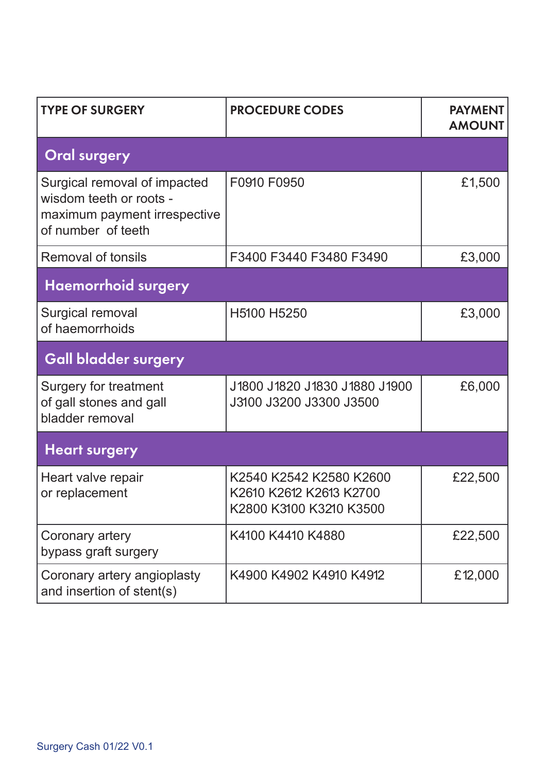| <b>TYPE OF SURGERY</b>                                                                                        | <b>PROCEDURE CODES</b>                                                        | <b>PAYMENT</b><br><b>AMOUNT</b> |  |
|---------------------------------------------------------------------------------------------------------------|-------------------------------------------------------------------------------|---------------------------------|--|
| <b>Oral surgery</b>                                                                                           |                                                                               |                                 |  |
| Surgical removal of impacted<br>wisdom teeth or roots -<br>maximum payment irrespective<br>of number of teeth | F0910 F0950                                                                   | £1,500                          |  |
| Removal of tonsils                                                                                            | F3400 F3440 F3480 F3490                                                       | £3,000                          |  |
| <b>Haemorrhoid surgery</b>                                                                                    |                                                                               |                                 |  |
| Surgical removal<br>of haemorrhoids                                                                           | H5100 H5250                                                                   | £3,000                          |  |
| <b>Gall bladder surgery</b>                                                                                   |                                                                               |                                 |  |
| Surgery for treatment<br>of gall stones and gall<br>bladder removal                                           | J1800 J1820 J1830 J1880 J1900<br>J3100 J3200 J3300 J3500                      | £6,000                          |  |
| <b>Heart surgery</b>                                                                                          |                                                                               |                                 |  |
| Heart valve repair<br>or replacement                                                                          | K2540 K2542 K2580 K2600<br>K2610 K2612 K2613 K2700<br>K2800 K3100 K3210 K3500 | £22,500                         |  |
| Coronary artery<br>bypass graft surgery                                                                       | K4100 K4410 K4880                                                             | £22,500                         |  |
| Coronary artery angioplasty<br>and insertion of stent(s)                                                      | K4900 K4902 K4910 K4912                                                       | £12,000                         |  |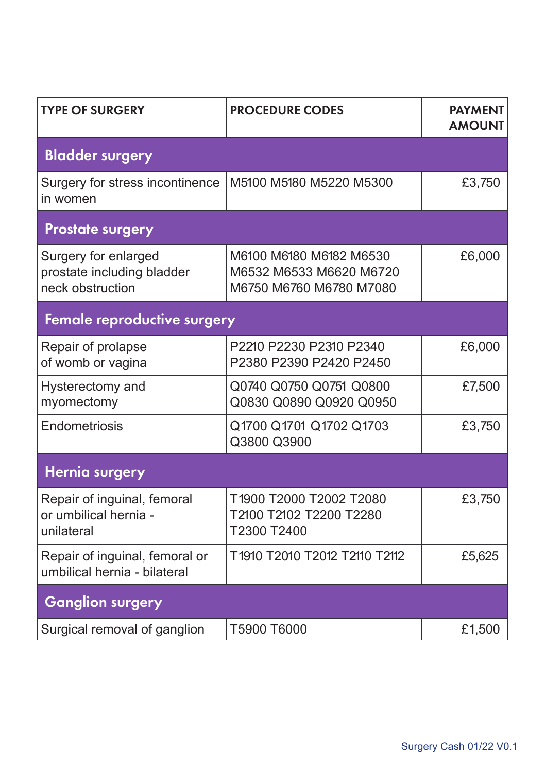| <b>TYPE OF SURGERY</b>                                                 | <b>PROCEDURE CODES</b>                                                        | <b>PAYMENT</b><br><b>AMOUNT</b> |
|------------------------------------------------------------------------|-------------------------------------------------------------------------------|---------------------------------|
| <b>Bladder surgery</b>                                                 |                                                                               |                                 |
| Surgery for stress incontinence<br>in women                            | M5100 M5180 M5220 M5300                                                       | £3,750                          |
| <b>Prostate surgery</b>                                                |                                                                               |                                 |
| Surgery for enlarged<br>prostate including bladder<br>neck obstruction | M6100 M6180 M6182 M6530<br>M6532 M6533 M6620 M6720<br>M6750 M6760 M6780 M7080 | £6,000                          |
| Female reproductive surgery                                            |                                                                               |                                 |
| Repair of prolapse<br>of womb or vagina                                | P2210 P2230 P2310 P2340<br>P2380 P2390 P2420 P2450                            | £6,000                          |
| Hysterectomy and<br>myomectomy                                         | Q0740 Q0750 Q0751 Q0800<br>Q0830 Q0890 Q0920 Q0950                            | £7,500                          |
| Endometriosis                                                          | Q1700 Q1701 Q1702 Q1703<br>Q3800 Q3900                                        | £3,750                          |
| <b>Hernia surgery</b>                                                  |                                                                               |                                 |
| Repair of inguinal, femoral<br>or umbilical hernia -<br>unilateral     | T1900 T2000 T2002 T2080<br>T2100 T2102 T2200 T2280<br>T2300 T2400             | £3,750                          |
| Repair of inguinal, femoral or<br>umbilical hernia - bilateral         | T1910 T2010 T2012 T2110 T2112                                                 | £5,625                          |
| <b>Ganglion surgery</b>                                                |                                                                               |                                 |
| Surgical removal of ganglion                                           | T5900 T6000                                                                   | £1,500                          |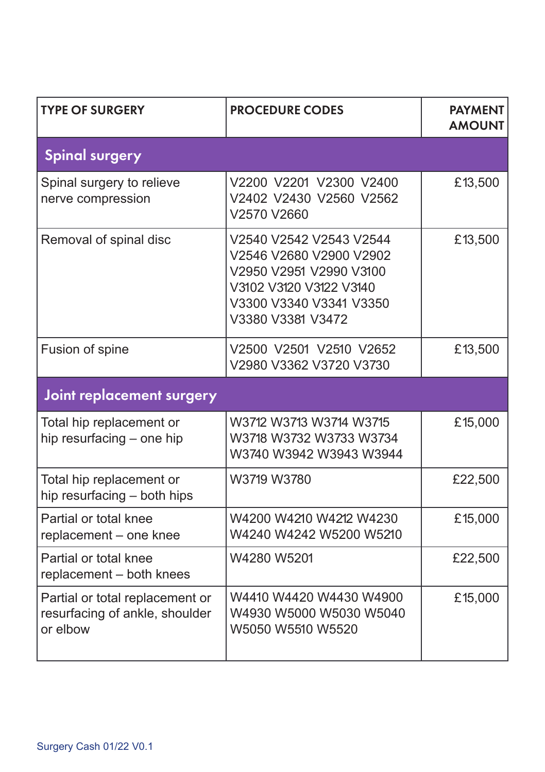| <b>TYPE OF SURGERY</b>                                                        | <b>PROCEDURE CODES</b>                                                                                                                                   | <b>PAYMENT</b><br><b>AMOUNT</b> |
|-------------------------------------------------------------------------------|----------------------------------------------------------------------------------------------------------------------------------------------------------|---------------------------------|
| <b>Spinal surgery</b>                                                         |                                                                                                                                                          |                                 |
| Spinal surgery to relieve<br>nerve compression                                | V2200 V2201 V2300 V2400<br>V2402 V2430 V2560 V2562<br>V2570 V2660                                                                                        | £13,500                         |
| Removal of spinal disc                                                        | V2540 V2542 V2543 V2544<br>V2546 V2680 V2900 V2902<br>V2950 V2951 V2990 V3100<br>V3102 V3120 V3122 V3140<br>V3300 V3340 V3341 V3350<br>V3380 V3381 V3472 | £13,500                         |
| Fusion of spine                                                               | V2500 V2501 V2510 V2652<br>V2980 V3362 V3720 V3730                                                                                                       | £13,500                         |
| Joint replacement surgery                                                     |                                                                                                                                                          |                                 |
| Total hip replacement or<br>hip resurfacing - one hip                         | W3712 W3713 W3714 W3715<br>W3718 W3732 W3733 W3734<br>W3740 W3942 W3943 W3944                                                                            | £15,000                         |
| Total hip replacement or<br>hip resurfacing - both hips                       | W3719 W3780                                                                                                                                              | £22,500                         |
| Partial or total knee<br>replacement - one knee                               | W4200 W4210 W4212 W4230<br>W4240 W4242 W5200 W5210                                                                                                       | £15,000                         |
| Partial or total knee<br>replacement - both knees                             | W4280 W5201                                                                                                                                              | £22,500                         |
| Partial or total replacement or<br>resurfacing of ankle, shoulder<br>or elbow | W4410 W4420 W4430 W4900<br>W4930 W5000 W5030 W5040<br>W5050 W5510 W5520                                                                                  | £15,000                         |